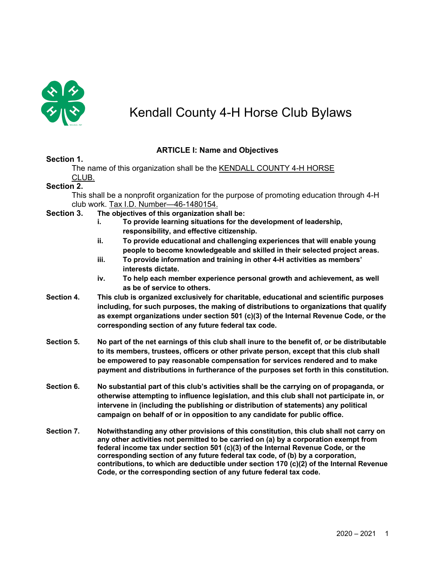

# Kendall County 4-H Horse Club Bylaws

# **ARTICLE I: Name and Objectives**

## **Section 1.**

The name of this organization shall be the KENDALL COUNTY 4-H HORSE CLUB.

## **Section 2.**

This shall be a nonprofit organization for the purpose of promoting education through 4-H club work. Tax I.D. Number—46-1480154.

## **Section 3. The objectives of this organization shall be:**

- **i. To provide learning situations for the development of leadership, responsibility, and effective citizenship.**
- **ii. To provide educational and challenging experiences that will enable young people to become knowledgeable and skilled in their selected project areas.**
- **iii. To provide information and training in other 4-H activities as members' interests dictate.**
- **iv. To help each member experience personal growth and achievement, as well as be of service to others.**
- **Section 4. This club is organized exclusively for charitable, educational and scientific purposes including, for such purposes, the making of distributions to organizations that qualify as exempt organizations under section 501 (c)(3) of the Internal Revenue Code, or the corresponding section of any future federal tax code.**
- **Section 5. No part of the net earnings of this club shall inure to the benefit of, or be distributable to its members, trustees, officers or other private person, except that this club shall be empowered to pay reasonable compensation for services rendered and to make payment and distributions in furtherance of the purposes set forth in this constitution.**
- **Section 6. No substantial part of this club's activities shall be the carrying on of propaganda, or otherwise attempting to influence legislation, and this club shall not participate in, or intervene in (including the publishing or distribution of statements) any political campaign on behalf of or in opposition to any candidate for public office.**
- **Section 7. Notwithstanding any other provisions of this constitution, this club shall not carry on any other activities not permitted to be carried on (a) by a corporation exempt from federal income tax under section 501 (c)(3) of the Internal Revenue Code, or the corresponding section of any future federal tax code, of (b) by a corporation, contributions, to which are deductible under section 170 (c)(2) of the Internal Revenue Code, or the corresponding section of any future federal tax code.**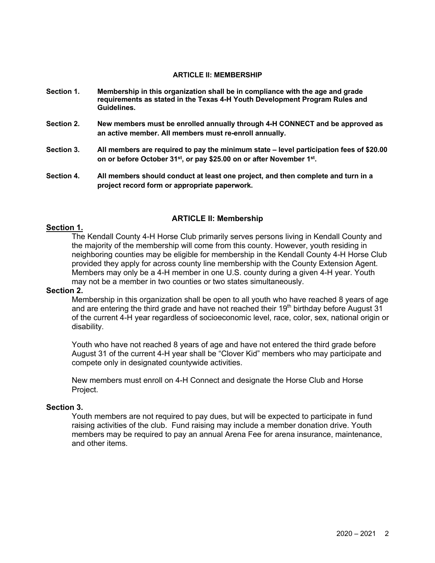### **ARTICLE II: MEMBERSHIP**

- **Section 1. Membership in this organization shall be in compliance with the age and grade requirements as stated in the Texas 4-H Youth Development Program Rules and Guidelines.**
- **Section 2. New members must be enrolled annually through 4-H CONNECT and be approved as an active member. All members must re-enroll annually.**
- **Section 3. All members are required to pay the minimum state – level participation fees of \$20.00 on or before October 31st, or pay \$25.00 on or after November 1st.**
- **Section 4. All members should conduct at least one project, and then complete and turn in a project record form or appropriate paperwork.**

# **ARTICLE II: Membership**

### **Section 1.**

The Kendall County 4-H Horse Club primarily serves persons living in Kendall County and the majority of the membership will come from this county. However, youth residing in neighboring counties may be eligible for membership in the Kendall County 4-H Horse Club provided they apply for across county line membership with the County Extension Agent. Members may only be a 4-H member in one U.S. county during a given 4-H year. Youth may not be a member in two counties or two states simultaneously.

## **Section 2.**

Membership in this organization shall be open to all youth who have reached 8 years of age and are entering the third grade and have not reached their  $19<sup>th</sup>$  birthday before August 31 of the current 4-H year regardless of socioeconomic level, race, color, sex, national origin or disability.

Youth who have not reached 8 years of age and have not entered the third grade before August 31 of the current 4-H year shall be "Clover Kid" members who may participate and compete only in designated countywide activities.

New members must enroll on 4-H Connect and designate the Horse Club and Horse Project.

#### **Section 3.**

Youth members are not required to pay dues, but will be expected to participate in fund raising activities of the club. Fund raising may include a member donation drive. Youth members may be required to pay an annual Arena Fee for arena insurance, maintenance, and other items.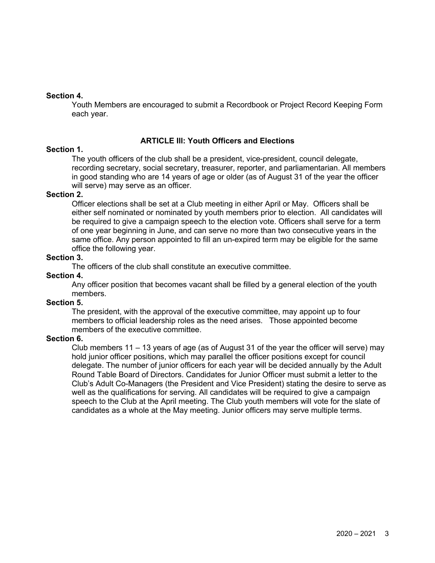# **Section 4.**

Youth Members are encouraged to submit a Recordbook or Project Record Keeping Form each year.

# **ARTICLE Ill: Youth Officers and Elections**

# **Section 1.**

The youth officers of the club shall be a president, vice-president, council delegate, recording secretary, social secretary, treasurer, reporter, and parliamentarian. All members in good standing who are 14 years of age or older (as of August 31 of the year the officer will serve) may serve as an officer.

## **Section 2.**

Officer elections shall be set at a Club meeting in either April or May. Officers shall be either self nominated or nominated by youth members prior to election. All candidates will be required to give a campaign speech to the election vote. Officers shall serve for a term of one year beginning in June, and can serve no more than two consecutive years in the same office. Any person appointed to fill an un-expired term may be eligible for the same office the following year.

# **Section 3.**

The officers of the club shall constitute an executive committee.

# **Section 4.**

Any officer position that becomes vacant shall be filled by a general election of the youth members.

## **Section 5.**

The president, with the approval of the executive committee, may appoint up to four members to official leadership roles as the need arises. Those appointed become members of the executive committee.

## **Section 6.**

Club members 11 – 13 years of age (as of August 31 of the year the officer will serve) may hold junior officer positions, which may parallel the officer positions except for council delegate. The number of junior officers for each year will be decided annually by the Adult Round Table Board of Directors. Candidates for Junior Officer must submit a letter to the Club's Adult Co-Managers (the President and Vice President) stating the desire to serve as well as the qualifications for serving. All candidates will be required to give a campaign speech to the Club at the April meeting. The Club youth members will vote for the slate of candidates as a whole at the May meeting. Junior officers may serve multiple terms.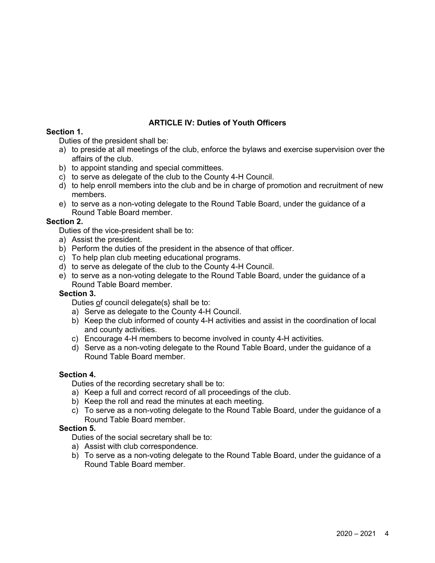# **ARTICLE IV: Duties of Youth Officers**

# **Section 1.**

Duties of the president shall be:

- a) to preside at all meetings of the club, enforce the bylaws and exercise supervision over the affairs of the club.
- b) to appoint standing and special committees.
- c) to serve as delegate of the club to the County 4-H Council.
- d) to help enroll members into the club and be in charge of promotion and recruitment of new members.
- e) to serve as a non-voting delegate to the Round Table Board, under the guidance of a Round Table Board member.

# **Section 2.**

- Duties of the vice-president shall be to:
- a) Assist the president.
- b) Perform the duties of the president in the absence of that officer.
- c) To help plan club meeting educational programs.
- d) to serve as delegate of the club to the County 4-H Council.
- e) to serve as a non-voting delegate to the Round Table Board, under the guidance of a Round Table Board member.

## **Section 3.**

Duties of council delegate(s} shall be to:

- a) Serve as delegate to the County 4-H Council.
- b) Keep the club informed of county 4-H activities and assist in the coordination of local and county activities.
- c) Encourage 4-H members to become involved in county 4-H activities.
- d) Serve as a non-voting delegate to the Round Table Board, under the guidance of a Round Table Board member.

# **Section 4.**

Duties of the recording secretary shall be to:

- a) Keep a full and correct record of all proceedings of the club.
- b) Keep the roll and read the minutes at each meeting.
- c) To serve as a non-voting delegate to the Round Table Board, under the guidance of a Round Table Board member.

# **Section 5.**

Duties of the social secretary shall be to:

- a) Assist with club correspondence.
- b) To serve as a non-voting delegate to the Round Table Board, under the guidance of a Round Table Board member.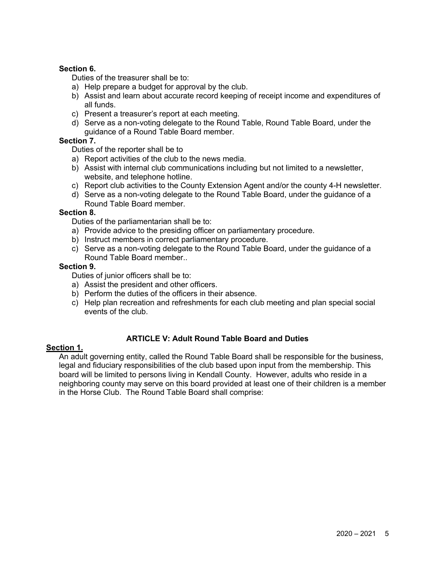# **Section 6.**

Duties of the treasurer shall be to:

- a) Help prepare a budget for approval by the club.
- b) Assist and learn about accurate record keeping of receipt income and expenditures of all funds.
- c) Present a treasurer's report at each meeting.
- d) Serve as a non-voting delegate to the Round Table, Round Table Board, under the guidance of a Round Table Board member.

# **Section 7.**

Duties of the reporter shall be to

- a) Report activities of the club to the news media.
- b) Assist with internal club communications including but not limited to a newsletter, website, and telephone hotline.
- c) Report club activities to the County Extension Agent and/or the county 4-H newsletter.
- d) Serve as a non-voting delegate to the Round Table Board, under the guidance of a Round Table Board member.

# **Section 8.**

Duties of the parliamentarian shall be to:

- a) Provide advice to the presiding officer on parliamentary procedure.
- b) Instruct members in correct parliamentary procedure.
- c) Serve as a non-voting delegate to the Round Table Board, under the guidance of a Round Table Board member..

# **Section 9.**

Duties of junior officers shall be to:

- a) Assist the president and other officers.
- b) Perform the duties of the officers in their absence.
- c) Help plan recreation and refreshments for each club meeting and plan special social events of the club.

# **ARTICLE V: Adult Round Table Board and Duties**

# **Section 1.**

An adult governing entity, called the Round Table Board shall be responsible for the business, legal and fiduciary responsibilities of the club based upon input from the membership. This board will be limited to persons living in Kendall County. However, adults who reside in a neighboring county may serve on this board provided at least one of their children is a member in the Horse Club. The Round Table Board shall comprise: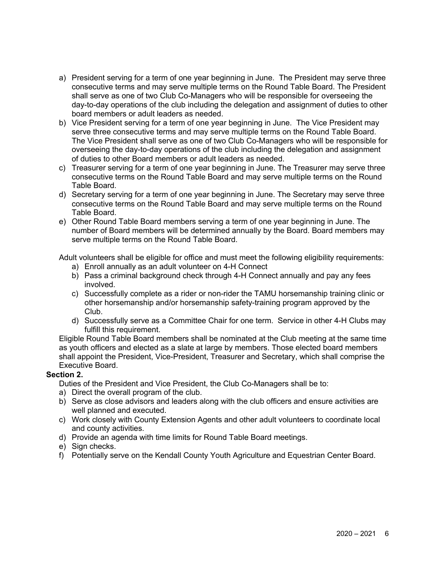- a) President serving for a term of one year beginning in June. The President may serve three consecutive terms and may serve multiple terms on the Round Table Board. The President shall serve as one of two Club Co-Managers who will be responsible for overseeing the day-to-day operations of the club including the delegation and assignment of duties to other board members or adult leaders as needed.
- b) Vice President serving for a term of one year beginning in June. The Vice President may serve three consecutive terms and may serve multiple terms on the Round Table Board. The Vice President shall serve as one of two Club Co-Managers who will be responsible for overseeing the day-to-day operations of the club including the delegation and assignment of duties to other Board members or adult leaders as needed.
- c) Treasurer serving for a term of one year beginning in June. The Treasurer may serve three consecutive terms on the Round Table Board and may serve multiple terms on the Round Table Board.
- d) Secretary serving for a term of one year beginning in June. The Secretary may serve three consecutive terms on the Round Table Board and may serve multiple terms on the Round Table Board.
- e) Other Round Table Board members serving a term of one year beginning in June. The number of Board members will be determined annually by the Board. Board members may serve multiple terms on the Round Table Board.

Adult volunteers shall be eligible for office and must meet the following eligibility requirements:

- a) Enroll annually as an adult volunteer on 4-H Connect
- b) Pass a criminal background check through 4-H Connect annually and pay any fees involved.
- c) Successfully complete as a rider or non-rider the TAMU horsemanship training clinic or other horsemanship and/or horsemanship safety-training program approved by the Club.
- d) Successfully serve as a Committee Chair for one term. Service in other 4-H Clubs may fulfill this requirement.

Eligible Round Table Board members shall be nominated at the Club meeting at the same time as youth officers and elected as a slate at large by members. Those elected board members shall appoint the President, Vice-President, Treasurer and Secretary, which shall comprise the Executive Board.

# **Section 2.**

- Duties of the President and Vice President, the Club Co-Managers shall be to:
- a) Direct the overall program of the club.
- b) Serve as close advisors and leaders along with the club officers and ensure activities are well planned and executed.
- c) Work closely with County Extension Agents and other adult volunteers to coordinate local and county activities.
- d) Provide an agenda with time limits for Round Table Board meetings.
- e) Sign checks.
- f) Potentially serve on the Kendall County Youth Agriculture and Equestrian Center Board.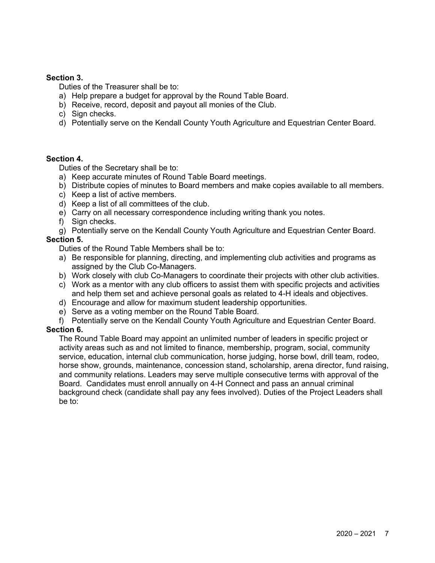# **Section 3.**

Duties of the Treasurer shall be to:

- a) Help prepare a budget for approval by the Round Table Board.
- b) Receive, record, deposit and payout all monies of the Club.
- c) Sign checks.
- d) Potentially serve on the Kendall County Youth Agriculture and Equestrian Center Board.

# **Section 4.**

Duties of the Secretary shall be to:

- a) Keep accurate minutes of Round Table Board meetings.
- b) Distribute copies of minutes to Board members and make copies available to all members.
- c) Keep a list of active members.
- d) Keep a list of all committees of the club.
- e) Carry on all necessary correspondence including writing thank you notes.
- f) Sign checks.
- g) Potentially serve on the Kendall County Youth Agriculture and Equestrian Center Board.

# **Section 5.**

Duties of the Round Table Members shall be to:

- a) Be responsible for planning, directing, and implementing club activities and programs as assigned by the Club Co-Managers.
- b) Work closely with club Co-Managers to coordinate their projects with other club activities.
- c) Work as a mentor with any club officers to assist them with specific projects and activities and help them set and achieve personal goals as related to 4-H ideals and objectives.
- d) Encourage and allow for maximum student leadership opportunities.
- e) Serve as a voting member on the Round Table Board.

f) Potentially serve on the Kendall County Youth Agriculture and Equestrian Center Board.

# **Section 6.**

The Round Table Board may appoint an unlimited number of leaders in specific project or activity areas such as and not limited to finance, membership, program, social, community service, education, internal club communication, horse judging, horse bowl, drill team, rodeo, horse show, grounds, maintenance, concession stand, scholarship, arena director, fund raising, and community relations. Leaders may serve multiple consecutive terms with approval of the Board. Candidates must enroll annually on 4-H Connect and pass an annual criminal background check (candidate shall pay any fees involved). Duties of the Project Leaders shall be to: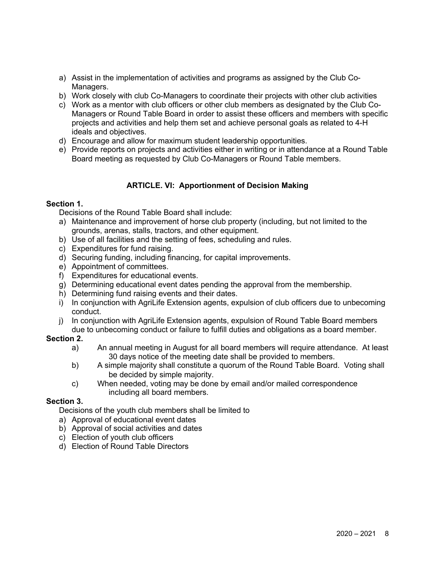- a) Assist in the implementation of activities and programs as assigned by the Club Co-Managers.
- b) Work closely with club Co-Managers to coordinate their projects with other club activities
- c) Work as a mentor with club officers or other club members as designated by the Club Co-Managers or Round Table Board in order to assist these officers and members with specific projects and activities and help them set and achieve personal goals as related to 4-H ideals and objectives.
- d) Encourage and allow for maximum student leadership opportunities.
- e) Provide reports on projects and activities either in writing or in attendance at a Round Table Board meeting as requested by Club Co-Managers or Round Table members.

# **ARTICLE. VI: Apportionment of Decision Making**

# **Section 1.**

Decisions of the Round Table Board shall include:

- a) Maintenance and improvement of horse club property (including, but not limited to the grounds, arenas, stalls, tractors, and other equipment.
- b) Use of all facilities and the setting of fees, scheduling and rules.
- c) Expenditures for fund raising.
- d) Securing funding, including financing, for capital improvements.
- e) Appointment of committees.
- f) Expenditures for educational events.
- g) Determining educational event dates pending the approval from the membership.
- h) Determining fund raising events and their dates.
- i) In conjunction with AgriLife Extension agents, expulsion of club officers due to unbecoming conduct.
- j) In conjunction with AgriLife Extension agents, expulsion of Round Table Board members due to unbecoming conduct or failure to fulfill duties and obligations as a board member.

## **Section 2.**

- a) An annual meeting in August for all board members will require attendance. At least 30 days notice of the meeting date shall be provided to members.
- b) A simple majority shall constitute a quorum of the Round Table Board. Voting shall be decided by simple majority.
- c) When needed, voting may be done by email and/or mailed correspondence including all board members.

## **Section 3.**

Decisions of the youth club members shall be limited to

- a) Approval of educational event dates
- b) Approval of social activities and dates
- c) Election of youth club officers
- d) Election of Round Table Directors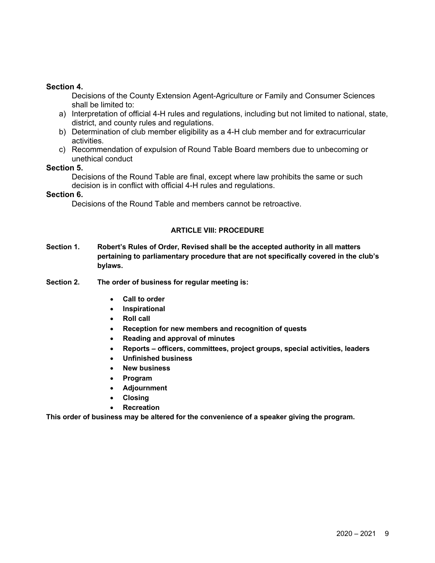## **Section 4.**

Decisions of the County Extension Agent-Agriculture or Family and Consumer Sciences shall be limited to:

- a) Interpretation of official 4-H rules and regulations, including but not limited to national, state, district, and county rules and regulations.
- b) Determination of club member eligibility as a 4-H club member and for extracurricular activities.
- c) Recommendation of expulsion of Round Table Board members due to unbecoming or unethical conduct

## **Section 5.**

Decisions of the Round Table are final, except where law prohibits the same or such decision is in conflict with official 4-H rules and regulations.

### **Section 6.**

Decisions of the Round Table and members cannot be retroactive.

### **ARTICLE VIII: PROCEDURE**

- **Section 1. Robert's Rules of Order, Revised shall be the accepted authority in all matters pertaining to parliamentary procedure that are not specifically covered in the club's bylaws.**
- **Section 2. The order of business for regular meeting is:**
	- **Call to order**
	- **Inspirational**
	- **Roll call**
	- **Reception for new members and recognition of quests**
	- **Reading and approval of minutes**
	- **Reports – officers, committees, project groups, special activities, leaders**
	- **Unfinished business**
	- **New business**
	- **Program**
	- **Adjournment**
	- **Closing**
	- **Recreation**

**This order of business may be altered for the convenience of a speaker giving the program.**